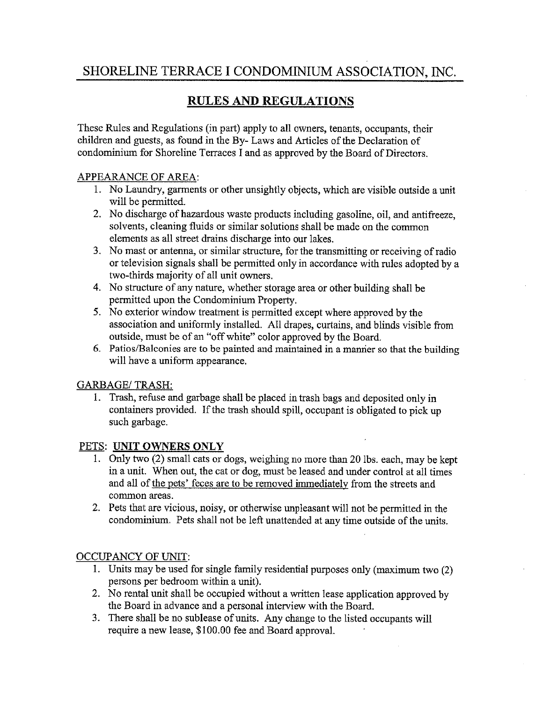# SHORELINE TERRACE I CONDOMINIUM ASSOCIATION, INC.

## RULES AND REGULATIONS

These Rules and Regulations (in part) apply to all owners, tenants, occupants, their children and guests, as found in the By- Laws and Articles of the Declaration of condominium for Shoreline Terraces I and as approved by the Board of Directors.

### APPEARANCE OF AREA:

- 1. No Laundry, garments or other unsightly objects, which are visible outside a unit will be permitted.
- 2. No discharge of hazardous waste products including gasoline, oil, and antifreeze, solvents, cleaning fluids or similar solutions shall be made on the common elements as all street drains discharge into our lakes.
- 3. No mast or antenna, or similar structure, for the transmitting or receiving of radio or television signals shall be permitted only in accordance with rules adopted by a two-thirds majority of all unit owners.
- 4. No structure of any nature, whether storage area or other building shall be permitted upon the Condominium Property.
- 5. No exterior window treatment is permitted except where approved by the association and uniformly installed. All drapes, curtains, and blinds visible from outside, must be of an "off white" color approved by the Board.
- 6. Patios/Balconies are to be painted and maintained in a manner so that the building will have a uniform appearance.

### GARBAGE/ TRASH:

1. Trash, refuse and garbage shall be placed in trash bags and deposited only in containers provided. If the trash should spill, occupant is obligated to pick up such garbage.

### PETS: UNIT OWNERS ONLY

- 1. Only two (2) small cats or dogs, weighing no more than 20 lbs. each, may be kept in a unit. When out, the cat or dog, must be leased and under control at all times and all of the pets' feces are to be removed immediately from the streets and common areas.
- 2. Pets that are vicious, noisy, or otherwise unpleasant will not be permitted in the condominium. Pets shall not be left unattended at any time outside of the units.

### OCCUPANCY OF UNIT:

- 1. Units may be used for single family residential purposes only (maximum two (2) persons per bedroom within a unit).
- 2. No rental unit shall be occupied without a written lease application approved by the Board in advance and a personal interview with the Board.
- 3. There shall be no sublease of units. Any change to the listed occupants will require a new lease, \$100.00 fee and Board approval.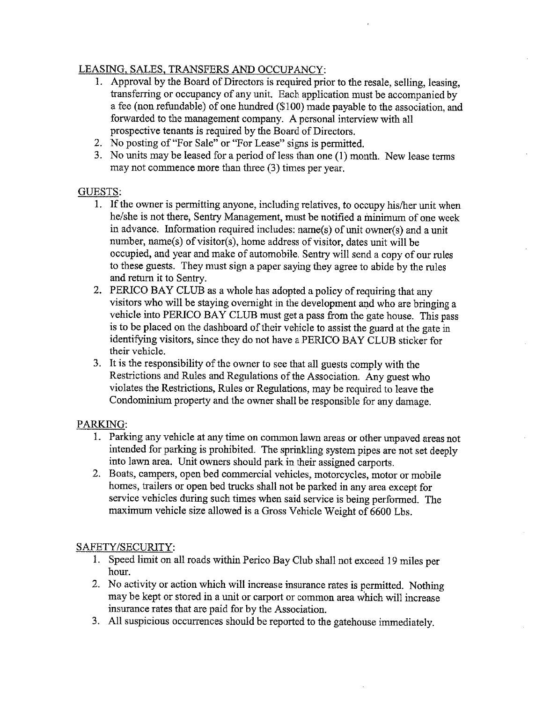### LEASING, SALES, TRANSFERS AND OCCUPANCY:

- 1. Approval by the Board of Directors is required prior to the resale, selling, leasing, transferring or occupancy of any unit. Each application must be accompanied by a fee (non refundable) of one hundred (\$100) made payable to the association, and forwarded to the management company. A personal interview with all prospective tenants is required by the Board of Directors.
- 2. No posting of "For Sale" or "For Lease" signs is permitted.
- 3. No units may be leased for a period of less than one (1) month. New lease terms may not commence more than three (3) times per year.

### GUESTS:

- 1. If the owner is permitting anyone, including relatives, to occupy his/her unit when he/she is not there, Sentry Management, must be notified a minimum of one week in advance. Information required includes: name(s) of unit owner(s) and a unit number, name(s) of visitor(s), home address of visitor, dates unit will be occupied, and year and make of automobile. Sentry will send a copy of our rules to these guests. They must sign a paper saying they agree to abide by the rules and return it to Sentry.
- 2. PERICO BAY CLUB as a whole has adopted a policy of requiring that any visitors who will be staying overnight in the development and who are bringing a vehicle into PERICO BAY CLUB must get <sup>a</sup>pass from the gate house. This pass is to be placed on the dashboard of their vehicle to assist the guard at the gate in identifying visitors, since they do not have a PERICO BAY CLUB sticker for their vehicle.
- 3. It is the responsibility of the owner to see that all guests comply with the Restrictions and Rules and Regulations of the Association. Any guest who violates the Restrictions, Rules or Regulations, may be required to leave the Condominium property and the owner shall be responsible for any damage.

### PARKING:

- 1. Parking any vehicle at any time on common lawn areas or other unpaved areas not intended for parking is prohibited. The sprinkling system pipes are not set deeply into lawn area. Unit owners should park in their assigned carports.
- 2. Boats, campers, open bed commercial vehicles, motorcycles, motor or mobile homes, trailers or open bed trucks shall not be parked in any area except for service vehicles during such times when said service is being performed. The maximum vehicle size allowed is a Gross Vehicle Weight of 6600 Lbs.

### SAFETY/SECURITY:

- 1. Speed limit on all roads within Perico Bay Club shall not exceed 19 miles per hour.
- 2. No activity or action which will increase insurance rates is permitted. Nothing may be kept or stored in a unit or carport or common area which will increase insurance rates that are paid for by the Association.
- 3. All suspicious occurrences should be reported to the gatehouse immediately.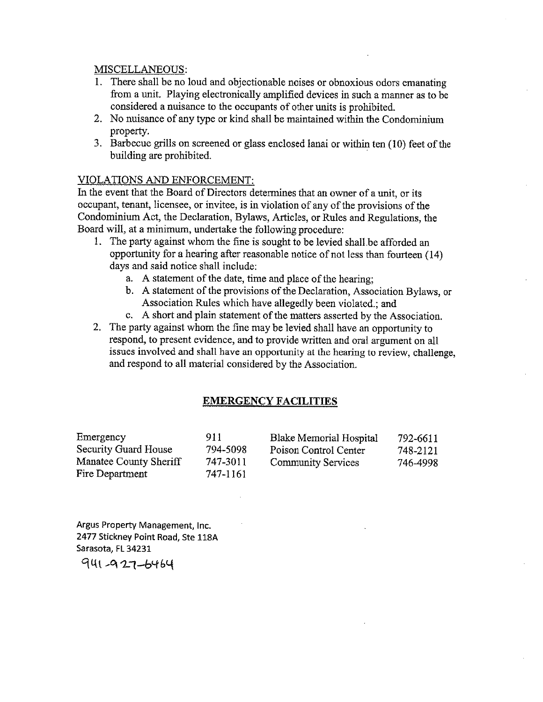#### MISCELLANEOUS:

- 1. There shall be no loud and objectionable noises or obnoxious odors emanating from a unit. Playing electronically amplified devices in such a manner as to be considered a nuisance to the occupants of other units is prohibited.
- 2. No nuisance of any type or kind shall be maintained within the Condominium property.
- 3. Barbecue grills on screened or glass enclosed lanai or within ten (10) feet of the building are prohibited.

#### VIOLATIONS AND ENFORCEMENT:

In the event that the Board of Directors determines that an owner of a unit, or its occupant, tenant, licensee, or invitee, is in violation of any of the provisions of the Condominium Act, the Declaration, Bylaws, Articles, or Rules and Regulations, the Board will, at a minimum, undertake the following procedure:

- 1. The party against whom the fine is sought to be levied shall be afforded an opportunity for a hearing after reasonable notice of not less than fourteen (14) days and said notice shall include:
	- a. A statement of the date, time and place of the hearing;
	- b. A statement of the provisions of the Declaration, Association Bylaws, or Association Rules which have allegedly been violated.; and
	- c. A short and plain statement of the matters asserted by the Association.
- 2. The party against whom the fine may be levied shall have an opportunity to respond, to present evidence, and to provide written and oral argument on all issues involved and shall have an opportunity at the hearing to review, challenge, and respond to all material considered by the Association.

#### EMERGENCY FACILITIES

| Emergency                   | 911      | Blake Memorial Hospital   | 792-6611 |
|-----------------------------|----------|---------------------------|----------|
| <b>Security Guard House</b> | 794-5098 | Poison Control Center     | 748-2121 |
| Manatee County Sheriff      | 747-3011 | <b>Community Services</b> | 746-4998 |
| Fire Department             | 747-1161 |                           |          |

Argus Property Management, Inc. 2477 Stickney Point Road, Ste 118A Sarasota, FL 34231

941 - 927 - 6464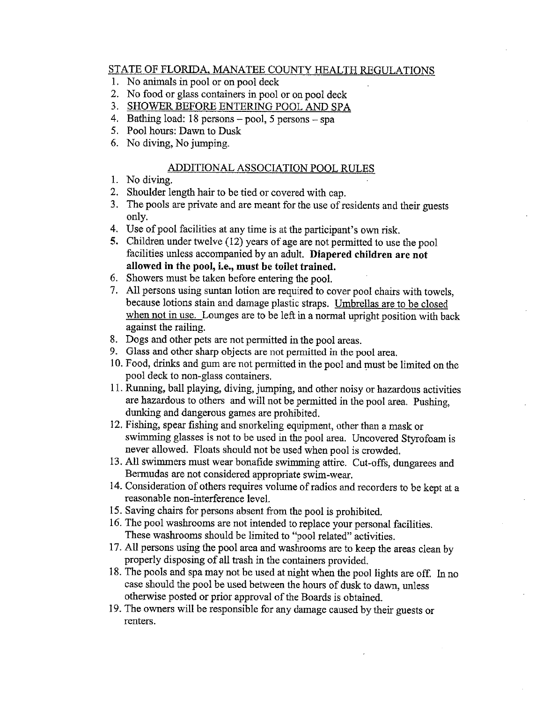#### STATE OF FLORIDA, MANATEE COUNTY HEALTH REGULATIONS

- 1. No animals in pool or on pool deck
- 2. No food or glass containers in pool or on pool deck
- 3. SHOWER BEFORE ENTERING POOL AND SPA
- 4. Bathing load: 18 persons pool, 5 persons spa
- 5. Pool hours: Dawn to Dusk
- 6. No diving, No jumping.

#### ADDITIONAL ASSOCIATION POOL RULES

- 1. No diving.
- 2. Shoulder length hair to be tied or covered with cap.
- 3. The pools are private and are meant for the use of residents and their guests only.
- 4. Use of pool facilities at any time is at the participant's own risk.
- 5. Children under twelve (12) years of age are not permitted to use the pool facilities unless accompanied by an adult. Diapered children are not allowed in the pool, i.e., must be toilet trained.
- 6. Showers must be taken before entering the pool.
- 7. All persons using suntan lotion are required to cover pool chairs with towels, because lotions stain and damage plastic straps. Umbrellas are to be closed when not in use. Lounges are to be left in a normal upright position with back against the railing.
- 8. Dogs and other pets are not permitted in the pool areas.
- 9. Glass and other sharp objects are not permitted in the pool area.
- 10. Food, drinks and gum are not permitted in the pool and must be limited on the pool deck to non-glass containers.
- 11. Running, ball playing, diving, jumping, and other noisy or hazardous activities are hazardous to others and will not be permitted in the pool area. Pushing, dunking and dangerous games are prohibited.
- 12. Fishing, spear fishing and snorkeling equipment, other than a mask or swimming glasses is not to be used in the pool area. Uncovered Styrofoam is never allowed. Floats should not be used when pool is crowded.
- 13. All swimmers must wear bonafide swimming attire. Cut-offs, dungarees and Bermudas are not considered appropriate swim-wear.
- 14. Consideration of others requires volume of radios and recorders to be kept at a reasonable non-interference level.
- 15. Saving chairs for persons absent from the pool is prohibited.
- 16. The pool washrooms are not intended to replace your personal facilities. These washrooms should be limited to "pool related" activities.
- 17. All persons using the pool area and washrooms are to keep the areas clean by properly disposing of all trash in the containers provided.
- 18. The pools and spa may not be used at night when the pool lights are off. In no case should the pool be used between the hours of dusk to dawn, unless otherwise posted or prior approval of the Boards is obtained.
- 19. The owners will be responsible for any damage caused by their guests or renters.